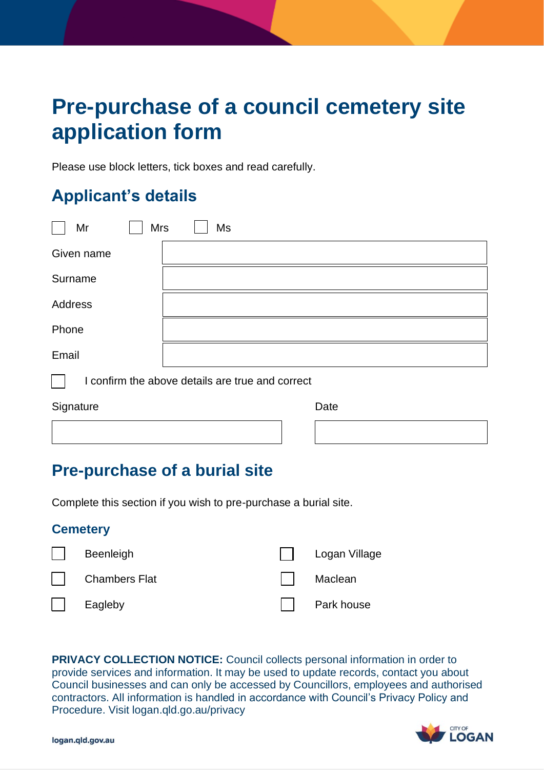# **Pre-purchase of a council cemetery site application form**

Please use block letters, tick boxes and read carefully.

## **Applicant's details**

| Mr                                               | <b>Mrs</b><br>Ms |  |  |
|--------------------------------------------------|------------------|--|--|
| Given name                                       |                  |  |  |
| Surname                                          |                  |  |  |
| Address                                          |                  |  |  |
| Phone                                            |                  |  |  |
| Email                                            |                  |  |  |
| I confirm the above details are true and correct |                  |  |  |

Signature Date

## **Pre-purchase of a burial site**

Complete this section if you wish to pre-purchase a burial site.

## **Cemetery**

| Beenleigh            | Logan Village |
|----------------------|---------------|
| <b>Chambers Flat</b> | Maclean       |
| Eagleby              | Park house    |

 **PRIVACY COLLECTION NOTICE:** Council collects personal information in order to provide services and information. It may be used to update records, contact you about Council businesses and can only be accessed by Councillors, employees and authorised contractors. All information is handled in accordance with Council's Privacy Policy and Procedure. Visit logan.qld.go.au/privacy

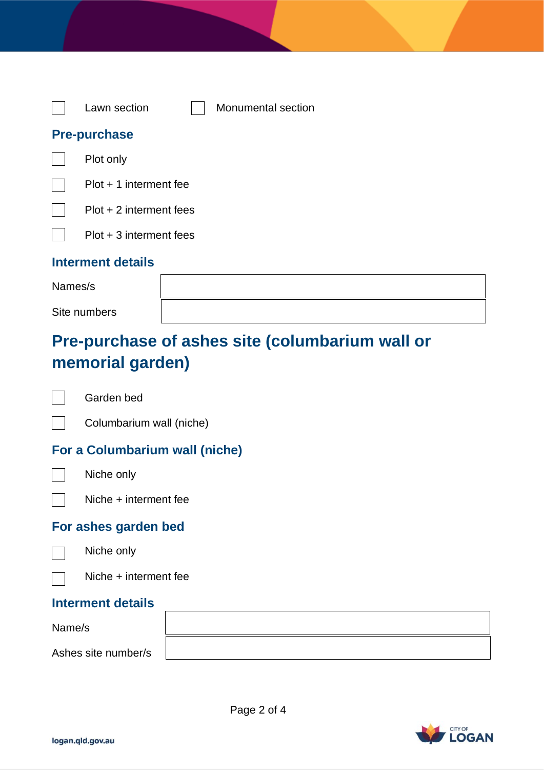| Lawn section              | Monumental section |
|---------------------------|--------------------|
| <b>Pre-purchase</b>       |                    |
| Plot only                 |                    |
| $Plot + 1$ interment fee  |                    |
| $Plot + 2$ interment fees |                    |
| Plot + 3 interment fees   |                    |
|                           |                    |

## **Interment details**

| Names/s      |  |
|--------------|--|
| Site numbers |  |

# **Pre-purchase of ashes site (columbarium wall or memorial garden)**

 $\Box$ 

Garden bed

 $\Box$ Columbarium wall (niche)

## **For a Columbarium wall (niche)**



Niche only

Niche + interment fee

## **For ashes garden bed**



Niche only



## **Interment details**

| Name/s              |  |
|---------------------|--|
| Ashes site number/s |  |

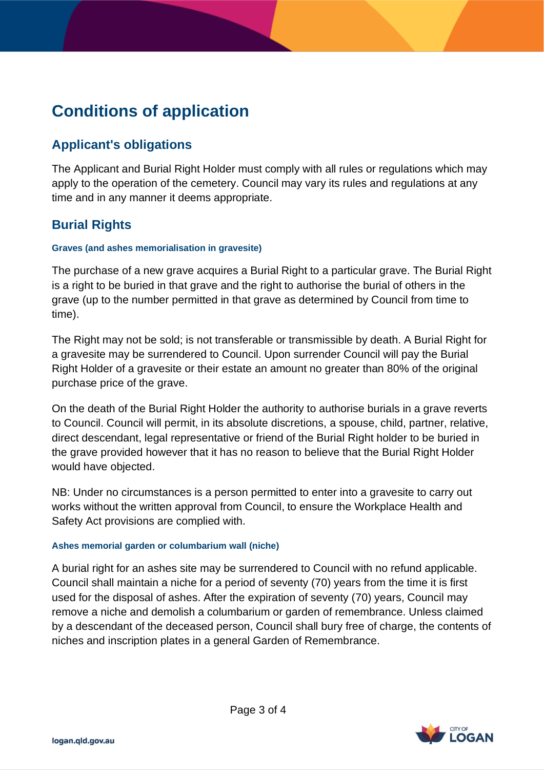# **Conditions of application**

## **Applicant's obligations**

 The Applicant and Burial Right Holder must comply with all rules or regulations which may apply to the operation of the cemetery. Council may vary its rules and regulations at any time and in any manner it deems appropriate.

## **Burial Rights**

### **Graves (and ashes memorialisation in gravesite)**

 The purchase of a new grave acquires a Burial Right to a particular grave. The Burial Right is a right to be buried in that grave and the right to authorise the burial of others in the grave (up to the number permitted in that grave as determined by Council from time to time).

 The Right may not be sold; is not transferable or transmissible by death. A Burial Right for a gravesite may be surrendered to Council. Upon surrender Council will pay the Burial Right Holder of a gravesite or their estate an amount no greater than 80% of the original purchase price of the grave.

 On the death of the Burial Right Holder the authority to authorise burials in a grave reverts to Council. Council will permit, in its absolute discretions, a spouse, child, partner, relative, direct descendant, legal representative or friend of the Burial Right holder to be buried in the grave provided however that it has no reason to believe that the Burial Right Holder would have objected.

 NB: Under no circumstances is a person permitted to enter into a gravesite to carry out works without the written approval from Council, to ensure the Workplace Health and Safety Act provisions are complied with.

#### **Ashes memorial garden or columbarium wall (niche)**

 A burial right for an ashes site may be surrendered to Council with no refund applicable. Council shall maintain a niche for a period of seventy (70) years from the time it is first used for the disposal of ashes. After the expiration of seventy (70) years, Council may remove a niche and demolish a columbarium or garden of remembrance. Unless claimed by a descendant of the deceased person, Council shall bury free of charge, the contents of niches and inscription plates in a general Garden of Remembrance.